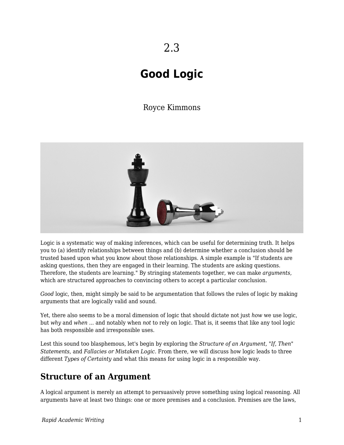# **Good Logic**

# Royce Kimmons



Logic is a systematic way of making inferences, which can be useful for determining truth. It helps you to (a) identify relationships between things and (b) determine whether a conclusion should be trusted based upon what you know about those relationships. A simple example is "If students are asking questions, then they are engaged in their learning. The students are asking questions. Therefore, the students are learning." By stringing statements together, we can make *arguments*, which are structured approaches to convincing others to accept a particular conclusion.

*Good* logic, then, might simply be said to be argumentation that follows the rules of logic by making arguments that are logically valid and sound.

Yet, there also seems to be a moral dimension of logic that should dictate not just *how* we use logic, but *why* and *when* ... and notably when *not* to rely on logic. That is, it seems that like any tool logic has both responsible and irresponsible uses.

Lest this sound too blasphemous, let's begin by exploring the *Structure of an Argument, "If, Then" Statements,* and *Fallacies or Mistaken Logic.* From there, we will discuss how logic leads to three different *Types of Certainty* and what this means for using logic in a responsible way.

# **Structure of an Argument**

A logical argument is merely an attempt to persuasively prove something using logical reasoning. All arguments have at least two things: one or more premises and a conclusion. Premises are the laws,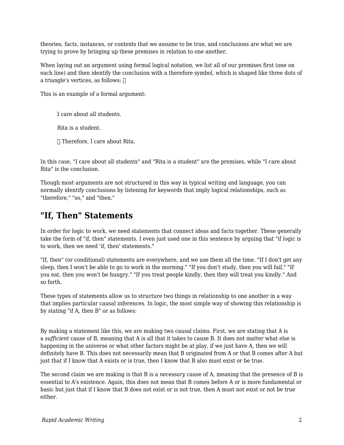theories, facts, instances, or contexts that we assume to be true, and conclusions are what we are trying to prove by bringing up these premises in relation to one another.

When laying out an argument using formal logical notation, we list all of our premises first (one on each line) and then identify the conclusion with a therefore symbol, which is shaped like three dots of a triangle's vertices, as follows:  $\Box$ 

This is an example of a formal argument:

I care about all students.

Rita is a student.

∴ Therefore, I care about Rita.

In this case, "I care about all students" and "Rita is a student" are the premises, while "I care about Rita" is the conclusion.

Though most arguments are not structured in this way in typical writing and language, you can normally identify conclusions by listening for keywords that imply logical relationships, such as "therefore," "so," and "then."

# **"If, Then" Statements**

In order for logic to work, we need statements that connect ideas and facts together. These generally take the form of "if, then" statements. I even just used one in this sentence by arguing that "if logic is to work, then we need 'if, then' statements."

"If, then" (or conditional) statements are everywhere, and we use them all the time. "If I don't get any sleep, then I won't be able to go to work in the morning." "If you don't study, then you will fail." "If you eat, then you won't be hungry." "If you treat people kindly, then they will treat you kindly." And so forth.

These types of statements allow us to structure two things in relationship to one another in a way that implies particular causal inferences. In logic, the most simple way of showing this relationship is by stating "if A, then B" or as follows:

By making a statement like this, we are making two causal claims. First, we are stating that A is a *sufficient* cause of B, meaning that A is all that it takes to cause B. It does not matter what else is happening in the universe or what other factors might be at play, if we just have A, then we will definitely have B. This does not necessarily mean that B originated from A or that B comes after A but just that if I know that A exists or is true, then I know that B also must exist or be true.

The second claim we are making is that B is a *necessary* cause of A, meaning that the presence of B is essential to A's existence. Again, this does not mean that B comes before A or is more fundamental or basic but just that if I know that B does not exist or is not true, then A must not exist or not be true either.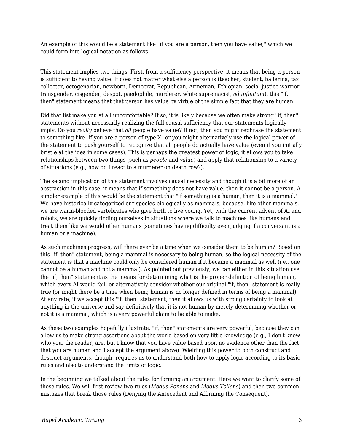An example of this would be a statement like "if you are a person, then you have value," which we could form into logical notation as follows:

This statement implies two things. First, from a sufficiency perspective, it means that being a person is sufficient to having value. It does not matter what else a person is (teacher, student, ballerina, tax collector, octogenarian, newborn, Democrat, Republican, Armenian, Ethiopian, social justice warrior, transgender, cisgender, despot, paedophile, murderer, white supremacist, *ad infinitum*), this "if, then" statement means that that person has value by virtue of the simple fact that they are human.

Did that list make you at all uncomfortable? If so, it is likely because we often make strong "if, then" statements without necessarily realizing the full causal sufficiency that our statements logically imply. Do you *really* believe that *all* people have value? If not, then you might rephrase the statement to something like "if you are a person of type X" or you might alternatively use the logical power of the statement to push yourself to recognize that all people do actually have value (even if you initially bristle at the idea in some cases). This is perhaps the greatest power of logic; it allows you to take relationships between two things (such as *people* and *value*) and apply that relationship to a variety of situations (e.g., how do I react to a murderer on death row?).

The second implication of this statement involves causal necessity and though it is a bit more of an abstraction in this case, it means that if something does not have value, then it cannot be a person. A simpler example of this would be the statement that "if something is a human, then it is a mammal." We have historically categorized our species biologically as mammals, because, like other mammals, we are warm-blooded vertebrates who give birth to live young. Yet, with the current advent of AI and robots, we are quickly finding ourselves in situations where we talk to machines like humans and treat them like we would other humans (sometimes having difficulty even judging if a conversant is a human or a machine).

As such machines progress, will there ever be a time when we consider them to be human? Based on this "if, then" statement, being a mammal is necessary to being human, so the logical necessity of the statement is that a machine could only be considered human if it became a mammal as well (i.e., one cannot be a human and not a mammal). As pointed out previously, we can either in this situation use the "if, then" statement as the means for determining what is the proper definition of being human, which every AI would fail, or alternatively consider whether our original "if, then" statement is really true (or might there be a time when being human is no longer defined in terms of being a mammal). At any rate, if we accept this "if, then" statement, then it allows us with strong certainty to look at anything in the universe and say definitively that it is not human by merely determining whether or not it is a mammal, which is a very powerful claim to be able to make.

As these two examples hopefully illustrate, "if, then" statements are very powerful, because they can allow us to make strong assertions about the world based on very little knowledge (e.g., I don't know who you, the reader, are, but I know that you have value based upon no evidence other than the fact that you are human and I accept the argument above). Wielding this power to both construct and destruct arguments, though, requires us to understand both how to apply logic according to its basic rules and also to understand the limits of logic.

In the beginning we talked about the rules for forming an argument. Here we want to clarify some of those rules. We will first review two rules (*Modus Ponens* and *Modus Tollens*) and then two common mistakes that break those rules (Denying the Antecedent and Affirming the Consequent).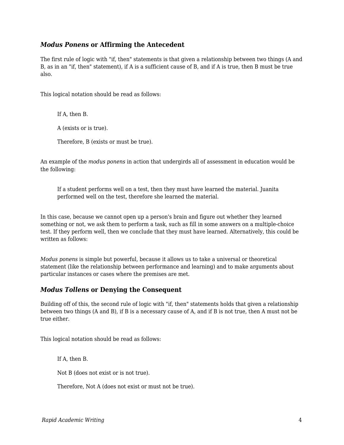### *Modus Ponens* **or Affirming the Antecedent**

The first rule of logic with "if, then" statements is that given a relationship between two things (A and B, as in an "if, then" statement), if A is a sufficient cause of B, and if A is true, then B must be true also.

This logical notation should be read as follows:

If A, then B.

A (exists or is true).

Therefore, B (exists or must be true).

An example of the *modus ponens* in action that undergirds all of assessment in education would be the following:

If a student performs well on a test, then they must have learned the material. Juanita performed well on the test, therefore she learned the material.

In this case, because we cannot open up a person's brain and figure out whether they learned something or not, we ask them to perform a task, such as fill in some answers on a multiple-choice test. If they perform well, then we conclude that they must have learned. Alternatively, this could be written as follows:

*Modus ponens* is simple but powerful, because it allows us to take a universal or theoretical statement (like the relationship between performance and learning) and to make arguments about particular instances or cases where the premises are met.

### *Modus Tollens* **or Denying the Consequent**

Building off of this, the second rule of logic with "if, then" statements holds that given a relationship between two things (A and B), if B is a necessary cause of A, and if B is not true, then A must not be true either.

This logical notation should be read as follows:

If A, then B.

Not B (does not exist or is not true).

Therefore, Not A (does not exist or must not be true).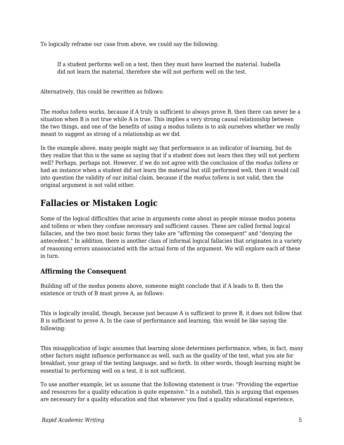To logically reframe our case from above, we could say the following:

If a student performs well on a test, then they must have learned the material. Isabella did not learn the material, therefore she will not perform well on the test.

Alternatively, this could be rewritten as follows:

The *modus tollens* works, because if A truly is sufficient to always prove B, then there can never be a situation when B is not true while A is true. This implies a very strong causal relationship between the two things, and one of the benefits of using a modus tollens is to ask ourselves whether we really meant to suggest as strong of a relationship as we did.

In the example above, many people might say that performance is an indicator of learning, but do they realize that this is the same as saying that if a student does not learn then they will not perform well? Perhaps, perhaps not. However, if we do not agree with the conclusion of the *modus tollens* or had an instance when a student did not learn the material but still performed well, then it would call into question the validity of our initial claim, because if the *modus tollens* is not valid, then the original argument is not valid either.

# **Fallacies or Mistaken Logic**

Some of the logical difficulties that arise in arguments come about as people misuse modus ponens and tollens or when they confuse necessary and sufficient causes. These are called formal logical fallacies, and the two most basic forms they take are "affirming the consequent" and "denying the antecedent." In addition, there is another class of informal logical fallacies that originates in a variety of reasoning errors unassociated with the actual form of the argument. We will explore each of these in turn.

# **Affirming the Consequent**

Building off of the modus ponens above, someone might conclude that if A leads to B, then the existence or truth of B must prove A, as follows:

This is logically invalid, though, because just because A is sufficient to prove B, it does not follow that B is sufficient to prove A. In the case of performance and learning, this would be like saying the following:

This misapplication of logic assumes that learning alone determines performance, when, in fact, many other factors might influence performance as well, such as the quality of the test, what you ate for breakfast, your grasp of the testing language, and so forth. In other words, though learning might be essential to performing well on a test, it is not sufficient.

To use another example, let us assume that the following statement is true: "Providing the expertise and resources for a quality education is quite expensive." In a nutshell, this is arguing that expenses are necessary for a quality education and that whenever you find a quality educational experience,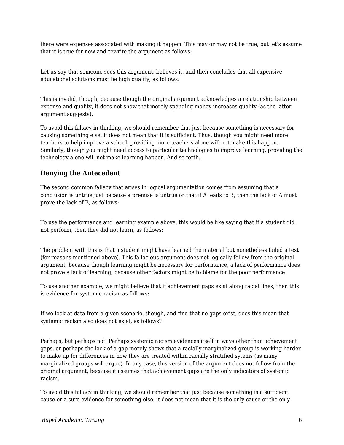there were expenses associated with making it happen. This may or may not be true, but let's assume that it is true for now and rewrite the argument as follows:

Let us say that someone sees this argument, believes it, and then concludes that all expensive educational solutions must be high quality, as follows:

This is invalid, though, because though the original argument acknowledges a relationship between expense and quality, it does not show that merely spending money increases quality (as the latter argument suggests).

To avoid this fallacy in thinking, we should remember that just because something is necessary for causing something else, it does not mean that it is sufficient. Thus, though you might need more teachers to help improve a school, providing more teachers alone will not make this happen. Similarly, though you might need access to particular technologies to improve learning, providing the technology alone will not make learning happen. And so forth.

### **Denying the Antecedent**

The second common fallacy that arises in logical argumentation comes from assuming that a conclusion is untrue just because a premise is untrue or that if A leads to B, then the lack of A must prove the lack of B, as follows:

To use the performance and learning example above, this would be like saying that if a student did not perform, then they did not learn, as follows:

The problem with this is that a student might have learned the material but nonetheless failed a test (for reasons mentioned above). This fallacious argument does not logically follow from the original argument, because though learning might be necessary for performance, a lack of performance does not prove a lack of learning, because other factors might be to blame for the poor performance.

To use another example, we might believe that if achievement gaps exist along racial lines, then this is evidence for systemic racism as follows:

If we look at data from a given scenario, though, and find that no gaps exist, does this mean that systemic racism also does not exist, as follows?

Perhaps, but perhaps not. Perhaps systemic racism evidences itself in ways other than achievement gaps, or perhaps the lack of a gap merely shows that a racially marginalized group is working harder to make up for differences in how they are treated within racially stratified sytems (as many marginalized groups will argue). In any case, this version of the argument does not follow from the original argument, because it assumes that achievement gaps are the only indicators of systemic racism.

To avoid this fallacy in thinking, we should remember that just because something is a sufficient cause or a sure evidence for something else, it does not mean that it is the only cause or the only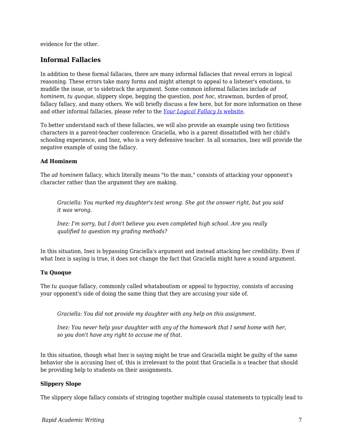evidence for the other.

### **Informal Fallacies**

In addition to these formal fallacies, there are many informal fallacies that reveal errors in logical reasoning. These errors take many forms and might attempt to appeal to a listener's emotions, to muddle the issue, or to sidetrack the argument. Some common informal fallacies include *ad hominem*, *tu quoque*, slippery slope, begging the question, *post hoc*, strawman, burden of proof, fallacy fallacy, and many others. We will briefly discuss a few here, but for more information on these and other informal fallacies, please refer to the *[Your Logical Fallacy Is](https://yourlogicalfallacyis.com/)* [website](https://yourlogicalfallacyis.com/).

To better understand each of these fallacies, we will also provide an example using two fictitious characters in a parent-teacher conference: Graciella, who is a parent dissatisfied with her child's schooling experience, and Inez, who is a very defensive teacher. In all scenarios, Inez will provide the negative example of using the fallacy.

#### **Ad Hominem**

The *ad hominem* fallacy, which literally means "to the man," consists of attacking your opponent's character rather than the argument they are making.

*Graciella: You marked my daughter's test wrong. She got the answer right, but you said it was wrong.*

*Inez: I'm sorry, but I don't believe you even completed high school. Are you really qualified to question my grading methods?*

In this situation, Inez is bypassing Graciella's argument and instead attacking her credibility. Even if what Inez is saying is true, it does not change the fact that Graciella might have a sound argument.

#### **Tu Quoque**

The *tu quoque* fallacy, commonly called whataboutism or appeal to hypocrisy, consists of accusing your opponent's side of doing the same thing that they are accusing your side of.

*Graciella: You did not provide my daughter with any help on this assignment.*

*Inez: You never help your daughter with any of the homework that I send home with her, so you don't have any right to accuse me of that.*

In this situation, though what Inez is saying might be true and Graciella might be guilty of the same behavior she is accusing Inez of, this is irrelevant to the point that Graciella is a teacher that should be providing help to students on their assignments.

#### **Slippery Slope**

The slippery slope fallacy consists of stringing together multiple causal statements to typically lead to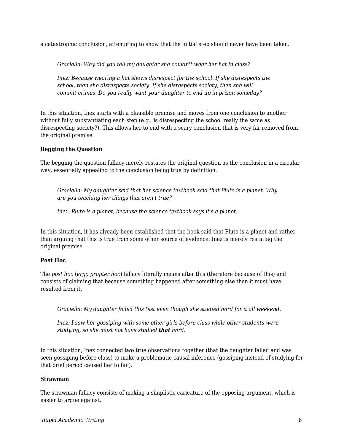a catastrophic conclusion, attempting to show that the initial step should never have been taken.

*Graciella: Why did you tell my daughter she couldn't wear her hat in class?*

*Inez: Because wearing a hat shows disrespect for the school. If she disrespects the school, then she disrespects society. If she disrespects society, then she will commit crimes. Do you really want your daughter to end up in prison someday?*

In this situation, Inez starts with a plausible premise and moves from one conclusion to another without fully substantiating each step (e.g., is disrespecting the school really the same as disrespecting society?). This allows her to end with a scary conclusion that is very far removed from the original premise.

#### **Begging the Question**

The begging the question fallacy merely restates the original question as the conclusion in a circular way, essentially appealing to the conclusion being true by definition.

*Graciella: My daughter said that her science textbook said that Pluto is a planet. Why are you teaching her things that aren't true?*

*Inez: Pluto is a planet, because the science textbook says it's a planet.*

In this situation, it has already been established that the book said that Pluto is a planet and rather than arguing that this is true from some other source of evidence, Inez is merely restating the original premise.

#### **Post Hoc**

The *post hoc* (*ergo propter hoc*) fallacy literally means after this (therefore because of this) and consists of claiming that because something happened after something else then it must have resulted from it.

*Graciella: My daughter failed this test even though she studied hard for it all weekend.*

*Inez: I saw her gossiping with some other girls before class while other students were studying, so she must not have studied that hard.*

In this situation, Inez connected two true observations together (that the daughter failed and was seen gossiping before class) to make a problematic causal inference (gossiping instead of studying for that brief period caused her to fail).

#### **Strawman**

The strawman fallacy consists of making a simplistic caricature of the opposing argument, which is easier to argue against.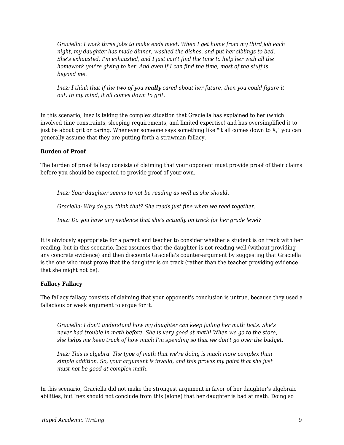*Graciella: I work three jobs to make ends meet. When I get home from my third job each night, my daughter has made dinner, washed the dishes, and put her siblings to bed. She's exhausted, I'm exhausted, and I just can't find the time to help her with all the homework you're giving to her. And even if I can find the time, most of the stuff is beyond me.*

*Inez: I think that if the two of you really cared about her future, then you could figure it out. In my mind, it all comes down to grit.*

In this scenario, Inez is taking the complex situation that Graciella has explained to her (which involved time constraints, sleeping requirements, and limited expertise) and has oversimplified it to just be about grit or caring. Whenever someone says something like "it all comes down to X," you can generally assume that they are putting forth a strawman fallacy.

#### **Burden of Proof**

The burden of proof fallacy consists of claiming that your opponent must provide proof of their claims before you should be expected to provide proof of your own.

*Inez: Your daughter seems to not be reading as well as she should.*

*Graciella: Why do you think that? She reads just fine when we read together.*

*Inez: Do you have any evidence that she's actually on track for her grade level?*

It is obviously appropriate for a parent and teacher to consider whether a student is on track with her reading, but in this scenario, Inez assumes that the daughter is not reading well (without providing any concrete evidence) and then discounts Graciella's counter-argument by suggesting that Graciella is the one who must prove that the daughter is on track (rather than the teacher providing evidence that she might not be).

#### **Fallacy Fallacy**

The fallacy fallacy consists of claiming that your opponent's conclusion is untrue, because they used a fallacious or weak argument to argue for it.

*Graciella: I don't understand how my daughter can keep failing her math tests. She's never had trouble in math before. She is very good at math! When we go to the store, she helps me keep track of how much I'm spending so that we don't go over the budget.*

*Inez: This is algebra. The type of math that we're doing is much more complex than simple addition. So, your argument is invalid, and this proves my point that she just must not be good at complex math.*

In this scenario, Graciella did not make the strongest argument in favor of her daughter's algebraic abilities, but Inez should not conclude from this (alone) that her daughter is bad at math. Doing so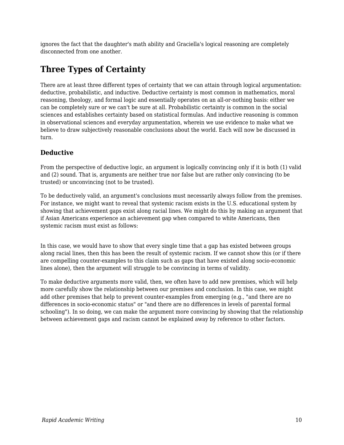ignores the fact that the daughter's math ability and Graciella's logical reasoning are completely disconnected from one another.

# **Three Types of Certainty**

There are at least three different types of certainty that we can attain through logical argumentation: deductive, probabilistic, and inductive. Deductive certainty is most common in mathematics, moral reasoning, theology, and formal logic and essentially operates on an all-or-nothing basis: either we can be completely sure or we can't be sure at all. Probabilistic certainty is common in the social sciences and establishes certainty based on statistical formulas. And inductive reasoning is common in observational sciences and everyday argumentation, wherein we use evidence to make what we believe to draw subjectively reasonable conclusions about the world. Each will now be discussed in turn.

# **Deductive**

From the perspective of deductive logic, an argument is logically convincing only if it is both (1) valid and (2) sound. That is, arguments are neither true nor false but are rather only convincing (to be trusted) or unconvincing (not to be trusted).

To be deductively valid, an argument's conclusions must necessarily always follow from the premises. For instance, we might want to reveal that systemic racism exists in the U.S. educational system by showing that achievement gaps exist along racial lines. We might do this by making an argument that if Asian Americans experience an achievement gap when compared to white Americans, then systemic racism must exist as follows:

In this case, we would have to show that every single time that a gap has existed between groups along racial lines, then this has been the result of systemic racism. If we cannot show this (or if there are compelling counter-examples to this claim such as gaps that have existed along socio-economic lines alone), then the argument will struggle to be convincing in terms of validity.

To make deductive arguments more valid, then, we often have to add new premises, which will help more carefully show the relationship between our premises and conclusion. In this case, we might add other premises that help to prevent counter-examples from emerging (e.g., "and there are no differences in socio-economic status" or "and there are no differences in levels of parental formal schooling"). In so doing, we can make the argument more convincing by showing that the relationship between achievement gaps and racism cannot be explained away by reference to other factors.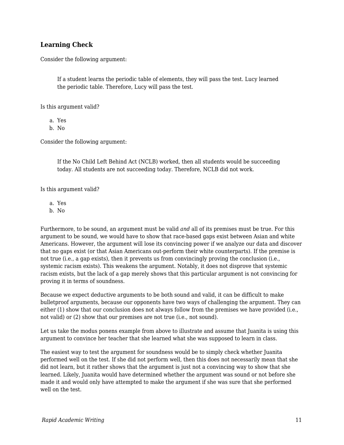### **Learning Check**

Consider the following argument:

If a student learns the periodic table of elements, they will pass the test. Lucy learned the periodic table. Therefore, Lucy will pass the test.

Is this argument valid?

a. Yes

b. No

Consider the following argument:

If the No Child Left Behind Act (NCLB) worked, then all students would be succeeding today. All students are not succeeding today. Therefore, NCLB did not work.

Is this argument valid?

a. Yes

b. No

Furthermore, to be sound, an argument must be valid *and* all of its premises must be true. For this argument to be sound, we would have to show that race-based gaps exist between Asian and white Americans. However, the argument will lose its convincing power if we analyze our data and discover that no gaps exist (or that Asian Americans out-perform their white counterparts). If the premise is not true (i.e., a gap exists), then it prevents us from convincingly proving the conclusion (i.e., systemic racism exists). This weakens the argument. Notably, it does not disprove that systemic racism exists, but the lack of a gap merely shows that this particular argument is not convincing for proving it in terms of soundness.

Because we expect deductive arguments to be both sound and valid, it can be difficult to make bulletproof arguments, because our opponents have two ways of challenging the argument. They can either (1) show that our conclusion does not always follow from the premises we have provided (i.e., not valid) or (2) show that our premises are not true (i.e., not sound).

Let us take the modus ponens example from above to illustrate and assume that Juanita is using this argument to convince her teacher that she learned what she was supposed to learn in class.

The easiest way to test the argument for soundness would be to simply check whether Juanita performed well on the test. If she did not perform well, then this does not necessarily mean that she did not learn, but it rather shows that the argument is just not a convincing way to show that she learned. Likely, Juanita would have determined whether the argument was sound or not before she made it and would only have attempted to make the argument if she was sure that she performed well on the test.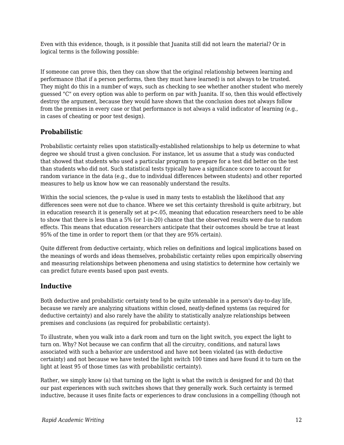Even with this evidence, though, is it possible that Juanita still did not learn the material? Or in logical terms is the following possible:

If someone can prove this, then they can show that the original relationship between learning and performance (that if a person performs, then they must have learned) is not always to be trusted. They might do this in a number of ways, such as checking to see whether another student who merely guessed "C" on every option was able to perform on par with Juanita. If so, then this would effectively destroy the argument, because they would have shown that the conclusion does not always follow from the premises in every case or that performance is not always a valid indicator of learning (e.g., in cases of cheating or poor test design).

# **Probabilistic**

Probabilistic certainty relies upon statistically-established relationships to help us determine to what degree we should trust a given conclusion. For instance, let us assume that a study was conducted that showed that students who used a particular program to prepare for a test did better on the test than students who did not. Such statistical tests typically have a significance score to account for random variance in the data (e.g., due to individual differences between students) and other reported measures to help us know how we can reasonably understand the results.

Within the social sciences, the p-value is used in many tests to establish the likelihood that any differences seen were not due to chance. Where we set this certainty threshold is quite arbitrary, but in education research it is generally set at p<.05, meaning that education researchers need to be able to show that there is less than a 5% (or 1-in-20) chance that the observed results were due to random effects. This means that education researchers anticipate that their outcomes should be true at least 95% of the time in order to report them (or that they are 95% certain).

Quite different from deductive certainty, which relies on definitions and logical implications based on the meanings of words and ideas themselves, probabilistic certainty relies upon empirically observing and measuring relationships between phenomena and using statistics to determine how certainly we can predict future events based upon past events.

# **Inductive**

Both deductive and probabilistic certainty tend to be quite untenable in a person's day-to-day life, because we rarely are analyzing situations within closed, neatly-defined systems (as required for deductive certainty) and also rarely have the ability to statistically analyze relationships between premises and conclusions (as required for probabilistic certainty).

To illustrate, when you walk into a dark room and turn on the light switch, you expect the light to turn on. Why? Not because we can confirm that all the circuitry, conditions, and natural laws associated with such a behavior are understood and have not been violated (as with deductive certainty) and not because we have tested the light switch 100 times and have found it to turn on the light at least 95 of those times (as with probabilistic certainty).

Rather, we simply know (a) that turning on the light is what the switch is designed for and (b) that our past experiences with such switches shows that they generally work. Such certainty is termed inductive, because it uses finite facts or experiences to draw conclusions in a compelling (though not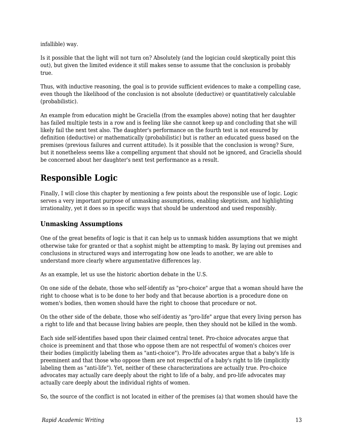infallible) way.

Is it possible that the light will not turn on? Absolutely (and the logician could skeptically point this out), but given the limited evidence it still makes sense to assume that the conclusion is probably true.

Thus, with inductive reasoning, the goal is to provide sufficient evidences to make a compelling case, even though the likelihood of the conclusion is not absolute (deductive) or quantitatively calculable (probabilistic).

An example from education might be Graciella (from the examples above) noting that her daughter has failed multiple tests in a row and is feeling like she cannot keep up and concluding that she will likely fail the next test also. The daughter's performance on the fourth test is not ensured by definition (deductive) or mathematically (probabilistic) but is rather an educated guess based on the premises (previous failures and current attitude). Is it possible that the conclusion is wrong? Sure, but it nonetheless seems like a compelling argument that should not be ignored, and Graciella should be concerned about her daughter's next test performance as a result.

# **Responsible Logic**

Finally, I will close this chapter by mentioning a few points about the responsible use of logic. Logic serves a very important purpose of unmasking assumptions, enabling skepticism, and highlighting irrationality, yet it does so in specific ways that should be understood and used responsibly.

# **Unmasking Assumptions**

One of the great benefits of logic is that it can help us to unmask hidden assumptions that we might otherwise take for granted or that a sophist might be attempting to mask. By laying out premises and conclusions in structured ways and interrogating how one leads to another, we are able to understand more clearly where argumentative differences lay.

As an example, let us use the historic abortion debate in the U.S.

On one side of the debate, those who self-identify as "pro-choice" argue that a woman should have the right to choose what is to be done to her body and that because abortion is a procedure done on women's bodies, then women should have the right to choose that procedure or not.

On the other side of the debate, those who self-identiy as "pro-life" argue that every living person has a right to life and that because living babies are people, then they should not be killed in the womb.

Each side self-identifies based upon their claimed central tenet. Pro-choice advocates argue that choice is preeminent and that those who oppose them are not respectful of women's choices over their bodies (implicitly labeling them as "anti-choice"). Pro-life advocates argue that a baby's life is preeminent and that those who oppose them are not respectful of a baby's right to life (implicitly labeling them as "anti-life"). Yet, neither of these characterizations are actually true. Pro-choice advocates may actually care deeply about the right to life of a baby, and pro-life advocates may actually care deeply about the individual rights of women.

So, the source of the conflict is not located in either of the premises (a) that women should have the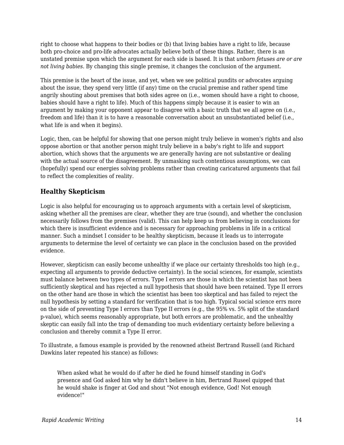right to choose what happens to their bodies or (b) that living babies have a right to life, because both pro-choice and pro-life advocates actually believe both of these things. Rather, there is an unstated premise upon which the argument for each side is based. It is that *unborn fetuses are or are not living babies.* By changing this single premise, it changes the conclusion of the argument.

This premise is the heart of the issue, and yet, when we see political pundits or advocates arguing about the issue, they spend very little (if any) time on the crucial premise and rather spend time angrily shouting about premises that both sides agree on (i.e., women should have a right to choose, babies should have a right to life). Much of this happens simply because it is easier to win an argument by making your opponent appear to disagree with a basic truth that we all agree on (i.e., freedom and life) than it is to have a reasonable conversation about an unsubstantiated belief (i.e., what life is and when it begins).

Logic, then, can be helpful for showing that one person might truly believe in women's rights and also oppose abortion or that another person might truly believe in a baby's right to life and support abortion, which shows that the arguments we are generally having are not substantive or dealing with the actual source of the disagreement. By unmasking such contentious assumptions, we can (hopefully) spend our energies solving problems rather than creating caricatured arguments that fail to reflect the complexities of reality.

# **Healthy Skepticism**

Logic is also helpful for encouraging us to approach arguments with a certain level of skepticism, asking whether all the premises are clear, whether they are true (sound), and whether the conclusion necessarily follows from the premises (valid). This can help keep us from believing in conclusions for which there is insufficient evidence and is necessary for approaching problems in life in a critical manner. Such a mindset I consider to be healthy skepticism, because it leads us to interrogate arguments to determine the level of certainty we can place in the conclusion based on the provided evidence.

However, skepticism can easily become unhealthy if we place our certainty thresholds too high (e.g., expecting all arguments to provide deductive certainty). In the social sciences, for example, scientists must balance between two types of errors. Type I errors are those in which the scientist has not been sufficiently skeptical and has rejected a null hypothesis that should have been retained. Type II errors on the other hand are those in which the scientist has been too skeptical and has failed to reject the null hypothesis by setting a standard for verification that is too high. Typical social science errs more on the side of preventing Type I errors than Type II errors (e.g., the 95% vs. 5% split of the standard p-value), which seems reasonably appropriate, but both errors are problematic, and the unhealthy skeptic can easily fall into the trap of demanding too much evidentiary certainty before believing a conclusion and thereby commit a Type II error.

To illustrate, a famous example is provided by the renowned atheist Bertrand Russell (and Richard Dawkins later repeated his stance) as follows:

When asked what he would do if after he died he found himself standing in God's presence and God asked him why he didn't believe in him, Bertrand Ruseel quipped that he would shake is finger at God and shout "Not enough evidence, God! Not enough evidence!"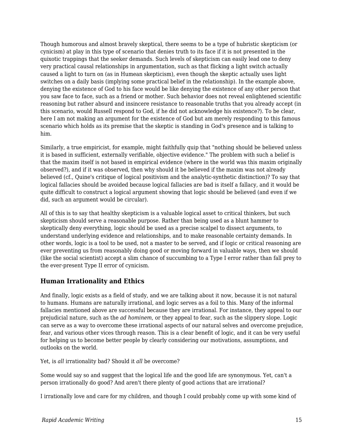Though humorous and almost bravely skeptical, there seems to be a type of hubristic skepticism (or cynicism) at play in this type of scenario that denies truth to its face if it is not presented in the quixotic trappings that the seeker demands. Such levels of skepticism can easily lead one to deny very practical causal relationships in argumentation, such as that flicking a light switch actually caused a light to turn on (as in Humean skepticism), even though the skeptic actually uses light switches on a daily basis (implying some practical belief in the relationship). In the example above, denying the existence of God to his face would be like denying the existence of any other person that you saw face to face, such as a friend or mother. Such behavior does not reveal enlightened scientific reasoning but rather absurd and insincere resistance to reasonable truths that you already accept (in this scenario, would Russell respond to God, if he did not acknowledge his existence?). To be clear, here I am not making an argument for the existence of God but am merely responding to this famous scenario which holds as its premise that the skeptic is standing in God's presence and is talking to him.

Similarly, a true empiricist, for example, might faithfully quip that "nothing should be believed unless it is based in sufficient, externally verifiable, objective evidence." The problem with such a belief is that the maxim itself is not based in empirical evidence (where in the world was this maxim originally observed?), and if it was observed, then why should it be believed if the maxim was not already believed (cf., Quine's critique of logical positivism and the analytic-synthetic distinction)? To say that logical fallacies should be avoided because logical fallacies are bad is itself a fallacy, and it would be quite difficult to construct a logical argument showing that logic should be believed (and even if we did, such an argument would be circular).

All of this is to say that healthy skepticism is a valuable logical asset to critical thinkers, but such skepticism should serve a reasonable purpose. Rather than being used as a blunt hammer to skeptically deny everything, logic should be used as a precise scalpel to dissect arguments, to understand underlying evidence and relationships, and to make reasonable certainty demands. In other words, logic is a tool to be used, not a master to be served, and if logic or critical reasoning are ever preventing us from reasonably doing good or moving forward in valuable ways, then we should (like the social scientist) accept a slim chance of succumbing to a Type I error rather than fall prey to the ever-present Type II error of cynicism.

# **Human Irrationality and Ethics**

And finally, logic exists as a field of study, and we are talking about it now, because it is not natural to humans. Humans are naturally irrational, and logic serves as a foil to this. Many of the informal fallacies mentioned above are successful because they are irrational. For instance, they appeal to our prejudicial nature, such as the *ad hominem*, or they appeal to fear, such as the slippery slope. Logic can serve as a way to overcome these irrational aspects of our natural selves and overcome prejudice, fear, and various other vices through reason. This is a clear benefit of logic, and it can be very useful for helping us to become better people by clearly considering our motivations, assumptions, and outlooks on the world.

Yet, is *all* irrationality bad? Should it *all* be overcome?

Some would say so and suggest that the logical life and the good life are synonymous. Yet, can't a person irrationally do good? And aren't there plenty of good actions that are irrational?

I irrationally love and care for my children, and though I could probably come up with some kind of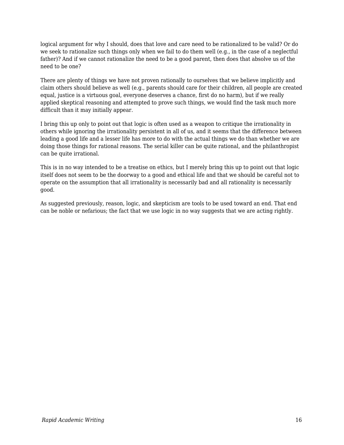logical argument for why I should, does that love and care need to be rationalized to be valid? Or do we seek to rationalize such things only when we fail to do them well (e.g., in the case of a neglectful father)? And if we cannot rationalize the need to be a good parent, then does that absolve us of the need to be one?

There are plenty of things we have not proven rationally to ourselves that we believe implicitly and claim others should believe as well (e.g., parents should care for their children, all people are created equal, justice is a virtuous goal, everyone deserves a chance, first do no harm), but if we really applied skeptical reasoning and attempted to prove such things, we would find the task much more difficult than it may initially appear.

I bring this up only to point out that logic is often used as a weapon to critique the irrationality in others while ignoring the irrationality persistent in all of us, and it seems that the difference between leading a good life and a lesser life has more to do with the actual things we do than whether we are doing those things for rational reasons. The serial killer can be quite rational, and the philanthropist can be quite irrational.

This is in no way intended to be a treatise on ethics, but I merely bring this up to point out that logic itself does not seem to be the doorway to a good and ethical life and that we should be careful not to operate on the assumption that all irrationality is necessarily bad and all rationality is necessarily good.

As suggested previously, reason, logic, and skepticism are tools to be used toward an end. That end can be noble or nefarious; the fact that we use logic in no way suggests that we are acting rightly.